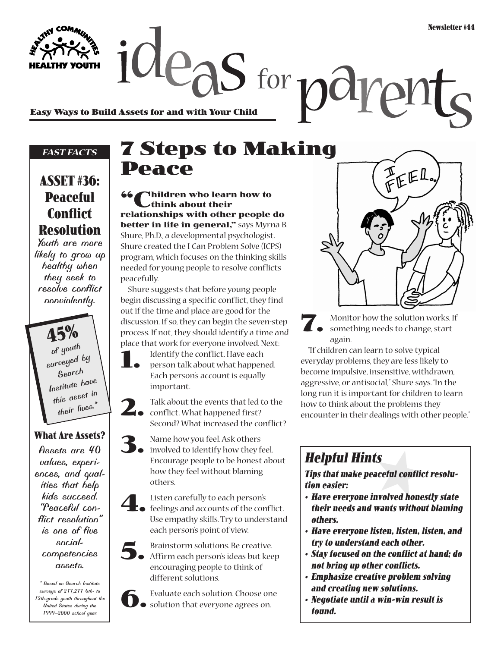**Easy Ways to Build Assets for and with Your Child**

### *FAST FACTS*

## **ASSET #36: Peaceful Conflict Resolution**

*Youth are more likely to grow up healthy when they seek to resolve conflict nonviolently.*

> **45%** *of youth surveyed by Search Institute have this asset in their lives.\**

### **What Are Assets?**

*Assets are 40 values, experiences, and qualities that help kids succeed. "Peaceful conflict resolution" is one of five socialcompetencies assets.*

*\* Based on Search Institute surveys of 217,277 6th- to 12th-grade youth throughout the United States during the 1999–2000 school year.*

# **7 Steps to Making Peace**

 $2e_{\partial}S$  for  $p\partial V$ 

**66** Children who learn how to **think about their relationships with other people do better in life in general,"** says Myrna B. Shure, Ph.D., a developmental psychologist. Shure created the I Can Problem Solve (ICPS) program, which focuses on the thinking skills needed for young people to resolve conflicts peacefully.

Shure suggests that before young people begin discussing a specific conflict, they find out if the time and place are good for the discussion. If so, they can begin the seven-step process. If not, they should identify a time and place that work for everyone involved. Next:

**1.** Identify the conflict. Have each person talk about what happened. Each person's account is equally important.

**2.** Talk about the events that led to the conflict. What happened first? Second? What increased the conflict?

**3.** Name how you feel. Ask others involved to identify how they feel. Encourage people to be honest about how they feel without blaming others.

**4.** Listen carefully to each person's feelings and accounts of the conflict. Use empathy skills. Try to understand each person's point of view.

**5.** Brainstorm solutions. Be creative.<br> **5.** Affirm each person's ideas but keep encouraging people to think of different solutions.



FEE

**7.** Monitor how the solution works. If something needs to change, start again.

"If children can learn to solve typical everyday problems, they are less likely to become impulsive, insensitive, withdrawn, aggressive, or antisocial," Shure says. "In the long run it is important for children to learn how to think about the problems they encounter in their dealings with other people."

## **Helpful Hints**

**Tips that make peaceful conflict resolution easier:**

- **Have everyone involved honestly state their needs and wants without blaming others.**
- **Have everyone listen, listen, listen, and try to understand each other.**
- **Stay focused on the conflict at hand; do not bring up other conflicts.**
- **Emphasize creative problem solving and creating new solutions.**
- **Negotiate until a win-win result is found.**